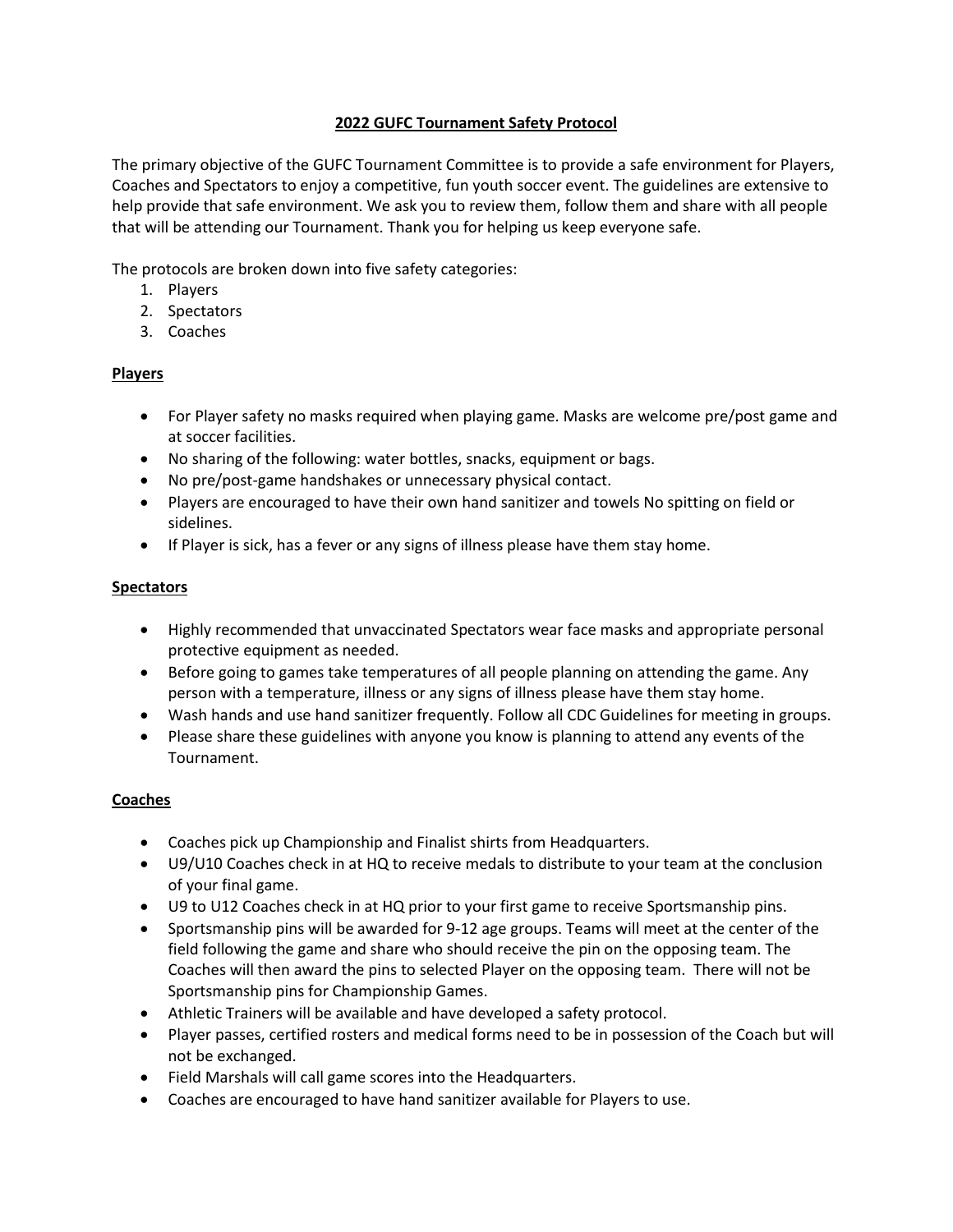## **2022 GUFC Tournament Safety Protocol**

The primary objective of the GUFC Tournament Committee is to provide a safe environment for Players, Coaches and Spectators to enjoy a competitive, fun youth soccer event. The guidelines are extensive to help provide that safe environment. We ask you to review them, follow them and share with all people that will be attending our Tournament. Thank you for helping us keep everyone safe.

The protocols are broken down into five safety categories:

- 1. Players
- 2. Spectators
- 3. Coaches

## **Players**

- For Player safety no masks required when playing game. Masks are welcome pre/post game and at soccer facilities.
- No sharing of the following: water bottles, snacks, equipment or bags.
- No pre/post-game handshakes or unnecessary physical contact.
- Players are encouraged to have their own hand sanitizer and towels No spitting on field or sidelines.
- If Player is sick, has a fever or any signs of illness please have them stay home.

## **Spectators**

- Highly recommended that unvaccinated Spectators wear face masks and appropriate personal protective equipment as needed.
- Before going to games take temperatures of all people planning on attending the game. Any person with a temperature, illness or any signs of illness please have them stay home.
- Wash hands and use hand sanitizer frequently. Follow all CDC Guidelines for meeting in groups.
- Please share these guidelines with anyone you know is planning to attend any events of the Tournament.

## **Coaches**

- Coaches pick up Championship and Finalist shirts from Headquarters.
- U9/U10 Coaches check in at HQ to receive medals to distribute to your team at the conclusion of your final game.
- U9 to U12 Coaches check in at HQ prior to your first game to receive Sportsmanship pins.
- Sportsmanship pins will be awarded for 9-12 age groups. Teams will meet at the center of the field following the game and share who should receive the pin on the opposing team. The Coaches will then award the pins to selected Player on the opposing team. There will not be Sportsmanship pins for Championship Games.
- Athletic Trainers will be available and have developed a safety protocol.
- Player passes, certified rosters and medical forms need to be in possession of the Coach but will not be exchanged.
- Field Marshals will call game scores into the Headquarters.
- Coaches are encouraged to have hand sanitizer available for Players to use.